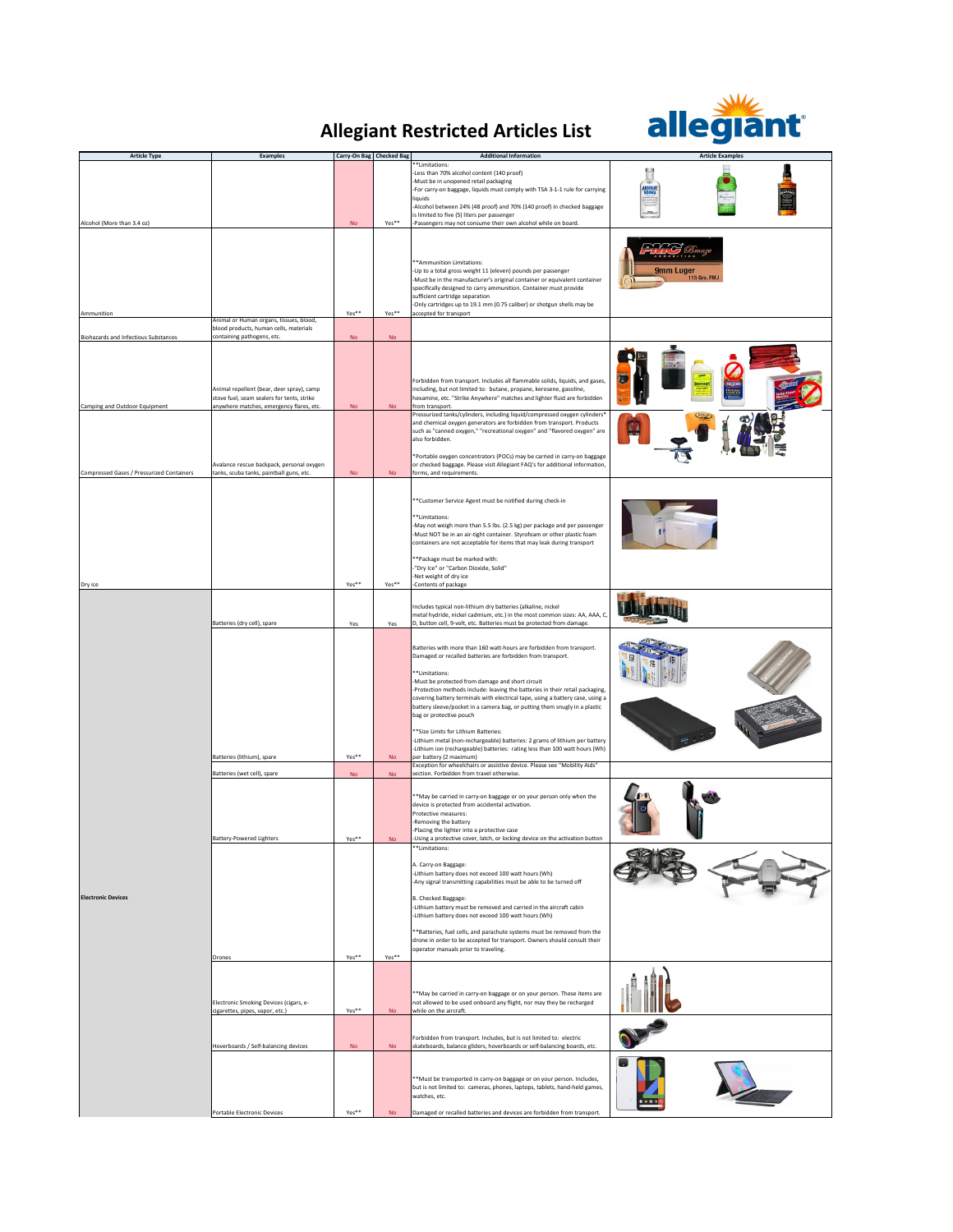## **Allegiant Restricted Articles List**



| <b>Article Type</b>                                                          | Examples                                                                                                                                                          | Carry-On Bag Checked Bag |                        | <b>Additional Information</b>                                                                                                                                                                                                                                                                                                                                                                                                                                                                                                                                                                                                                                                                                                                                                                                     | <b>Article Examples</b>   |
|------------------------------------------------------------------------------|-------------------------------------------------------------------------------------------------------------------------------------------------------------------|--------------------------|------------------------|-------------------------------------------------------------------------------------------------------------------------------------------------------------------------------------------------------------------------------------------------------------------------------------------------------------------------------------------------------------------------------------------------------------------------------------------------------------------------------------------------------------------------------------------------------------------------------------------------------------------------------------------------------------------------------------------------------------------------------------------------------------------------------------------------------------------|---------------------------|
|                                                                              |                                                                                                                                                                   |                          |                        | *Limitations:<br>Less than 70% alcohol content (140 proof)<br>-Must be in unopened retail packaging<br>-For carry-on baggage, liquids must comply with TSA 3-1-1 rule for carrying<br>liquids<br>-Alcohol between 24% (48 proof) and 70% (140 proof) in checked baggage<br>is limited to five (5) liters per passenger                                                                                                                                                                                                                                                                                                                                                                                                                                                                                            |                           |
| Alcohol (More than 3.4 oz)<br>Ammunition                                     |                                                                                                                                                                   | No<br>Yes**              | Yes**<br>Yes**         | -Passengers may not consume their own alcohol while on board.<br>** Ammunition Limitations:<br>-Up to a total gross weight 11 (eleven) pounds per passenger<br>-Must be in the manufacturer's original container or equivalent container<br>specifically designed to carry ammunition. Container must provide<br>sufficient cartridge separation<br>-Only cartridges up to 19.1 mm (0.75 caliber) or shotgun shells may be<br>accepted for transport                                                                                                                                                                                                                                                                                                                                                              | 9mm Luger<br>115 Grs. FMJ |
|                                                                              | Animal or Human organs, tissues, blood,<br>blood products, human cells, materials                                                                                 |                          |                        |                                                                                                                                                                                                                                                                                                                                                                                                                                                                                                                                                                                                                                                                                                                                                                                                                   |                           |
| <b>Biohazards and Infectious Substances</b><br>Camping and Outdoor Equipment | containing pathogens, etc.<br>Animal repellent (bear, deer spray), camp<br>stove fuel, seam sealers for tents, strike<br>anywhere matches, emergency flares, etc. | <b>No</b><br>No          | <b>No</b><br><b>No</b> | Forbidden from transport. Includes all flammable solids, liquids, and gases,<br>including, but not limited to: butane, propane, kerosene, gasoline,<br>hexamine, etc. "Strike Anywhere" matches and lighter fluid are forbidden<br>from transport.<br>Pressurized tanks/cylinders, including liquid/compressed oxygen cylinders*                                                                                                                                                                                                                                                                                                                                                                                                                                                                                  |                           |
| Compressed Gases / Pressurized Containers                                    | Avalance rescue backpack, personal oxygen<br>tanks, scuba tanks, paintball guns, etc.                                                                             | No                       | $\mathsf{No}$          | and chemical oxygen generators are forbidden from transport. Products<br>such as "canned oxygen," "recreational oxygen" and "flavored oxygen" are<br>also forbidden.<br>*Portable oxygen concentrators (POCs) may be carried in carry-on baggage<br>or checked baggage. Please visit Allegiant FAQ's for additional information,<br>forms, and requirements.                                                                                                                                                                                                                                                                                                                                                                                                                                                      |                           |
| Dry ice                                                                      |                                                                                                                                                                   | $Yes**$                  | Yes**                  | *Customer Service Agent must be notified during check-in<br><sup>**</sup> Limitations:<br>-May not weigh more than 5.5 lbs. (2.5 kg) per package and per passenger<br>-Must NOT be in an air-tight container. Styrofoam or other plastic foam<br>containers are not acceptable for items that may leak during transport<br>** Package must be marked with:<br>"Dry Ice" or "Carbon Dioxide, Solid"<br>Net weight of dry ice<br>-Contents of package                                                                                                                                                                                                                                                                                                                                                               |                           |
|                                                                              | Batteries (dry cell), spare                                                                                                                                       | Yes                      | Yes                    | ncludes typical non-lithium dry batteries (alkaline, nickel<br>metal hydride, nickel cadmium, etc.) in the most common sizes: AA, AAA, C,<br>D, button cell, 9-volt, etc. Batteries must be protected from damage.                                                                                                                                                                                                                                                                                                                                                                                                                                                                                                                                                                                                |                           |
| <b>Electronic Devices</b>                                                    | Batteries (lithium), spare                                                                                                                                        | $Yes**$                  | <b>No</b>              | Batteries with more than 160 watt-hours are forbidden from transport.<br>Damaged or recalled batteries are forbidden from transport.<br><sup>**</sup> Limitations:<br>-Must be protected from damage and short circuit<br>-Protection methods include: leaving the batteries in their retail packaging,<br>covering battery terminals with electrical tape, using a battery case, using a<br>battery sleeve/pocket in a camera bag, or putting them snugly in a plastic<br>bag or protective pouch<br>** Size Limits for Lithium Batteries:<br>-Lithium metal (non-rechargeable) batteries: 2 grams of lithium per battery<br>-Lithium ion (rechargeable) batteries: rating less than 100 watt hours (Wh)<br>per battery (2 maximum)<br>Exception for wheelchairs or assistive device. Please see "Mobility Aids" |                           |
|                                                                              | Batteries (wet cell), spare                                                                                                                                       | <b>No</b>                | <b>No</b>              | section. Forbidden from travel otherwise.                                                                                                                                                                                                                                                                                                                                                                                                                                                                                                                                                                                                                                                                                                                                                                         |                           |
|                                                                              | <b>Battery-Powered Lighters</b>                                                                                                                                   | $Yes**$                  | <b>No</b>              | *May be carried in carry-on baggage or on your person only when the<br>device is protected from accidental activation.<br>Protective measures:<br>-Removing the battery<br>-Placing the lighter into a protective case<br>Using a protective cover, latch, or locking device on the activation button.                                                                                                                                                                                                                                                                                                                                                                                                                                                                                                            |                           |
|                                                                              | Drones                                                                                                                                                            | Yes**                    | Yes**                  | <sup>**</sup> Limitations:<br>A. Carry-on Baggage:<br>-Lithium battery does not exceed 100 watt hours (Wh)<br>Any signal transmitting capabilities must be able to be turned off<br><b>B. Checked Baggage:</b><br>-Lithium battery must be removed and carried in the aircraft cabin<br>-Lithium battery does not exceed 100 watt hours (Wh)<br>*Batteries, fuel cells, and parachute systems must be removed from the<br>drone in order to be accepted for transport. Owners should consult their<br>operator manuals prior to traveling.                                                                                                                                                                                                                                                                        |                           |
|                                                                              | Electronic Smoking Devices (cigars, e-<br>cigarettes, pipes, vapor, etc.)                                                                                         | Yes**                    | <b>No</b>              | *May be carried in carry-on baggage or on your person. These items are<br>not allowed to be used onboard any flight, nor may they be recharged<br>while on the aircraft.                                                                                                                                                                                                                                                                                                                                                                                                                                                                                                                                                                                                                                          |                           |
|                                                                              | Hoverboards / Self-balancing devices                                                                                                                              | <b>No</b>                | <b>No</b>              | Forbidden from transport. Includes, but is not limited to: electric<br>skateboards, balance gliders, hoverboards or self-balancing boards, etc.<br>*Must be transported in carry-on baggage or on your person. Includes,<br>but is not limited to: cameras, phones, laptops, tablets, hand-held games,<br>watches, etc.                                                                                                                                                                                                                                                                                                                                                                                                                                                                                           |                           |
|                                                                              | Portable Electronic Devices                                                                                                                                       | Yes**                    | <b>No</b>              | Damaged or recalled batteries and devices are forbidden from transport.                                                                                                                                                                                                                                                                                                                                                                                                                                                                                                                                                                                                                                                                                                                                           |                           |